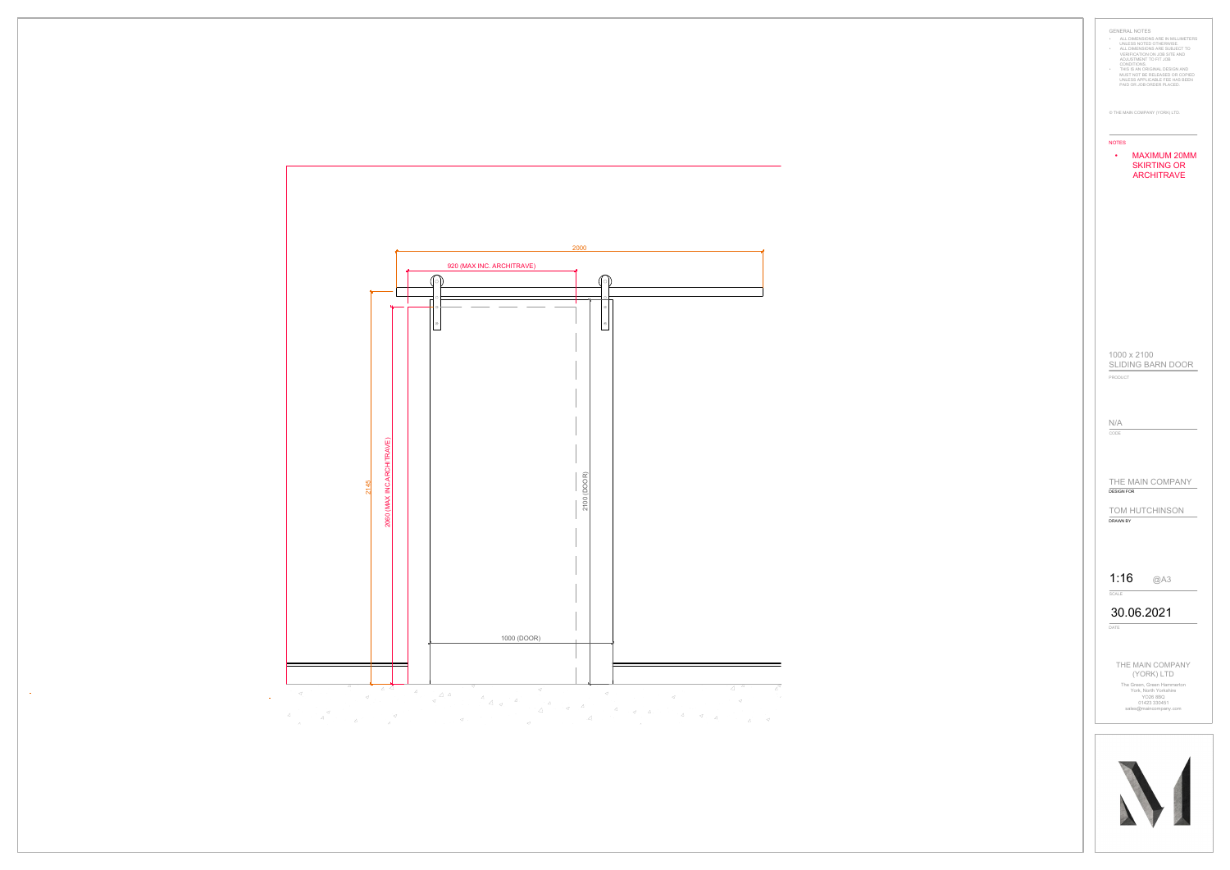

 $\mathcal{L}_{\mathrm{max}}$ 

 $\sim 10^6$ 

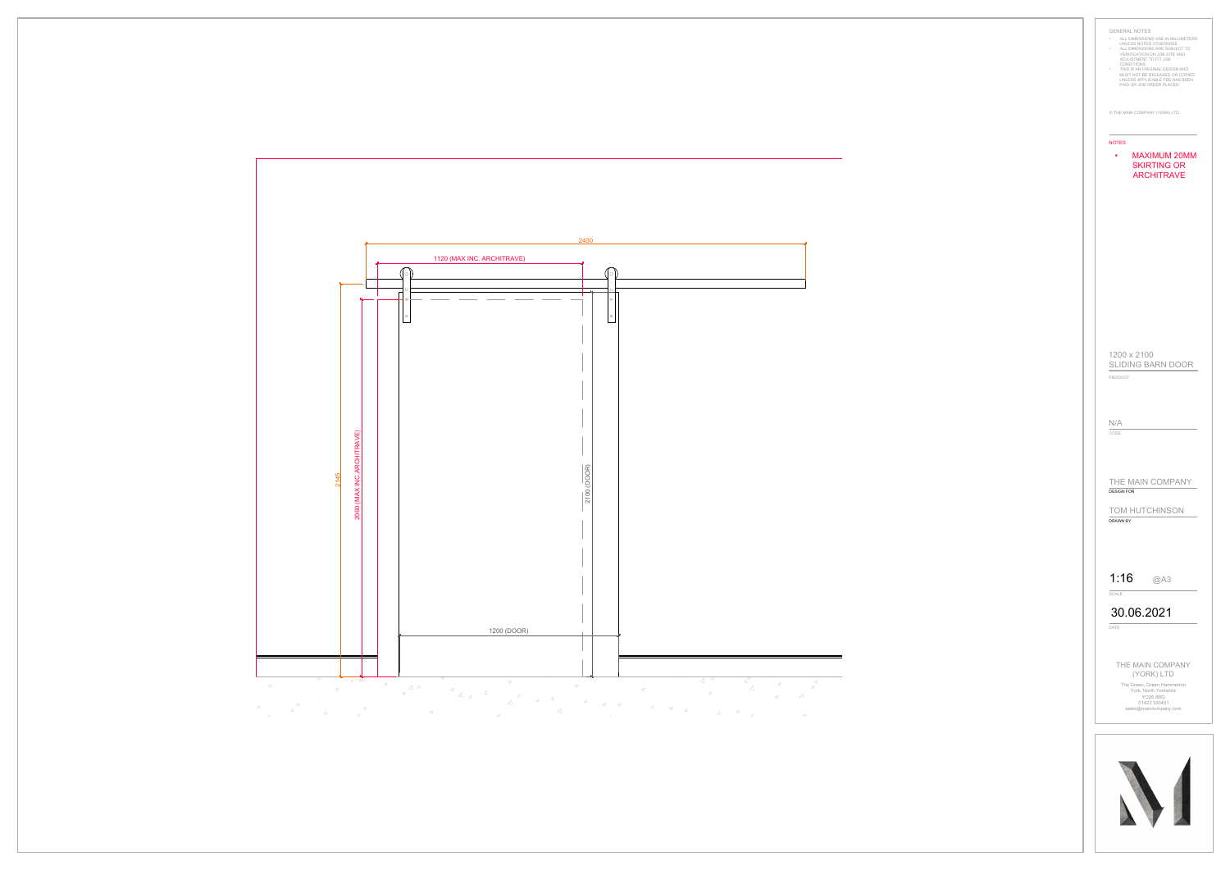